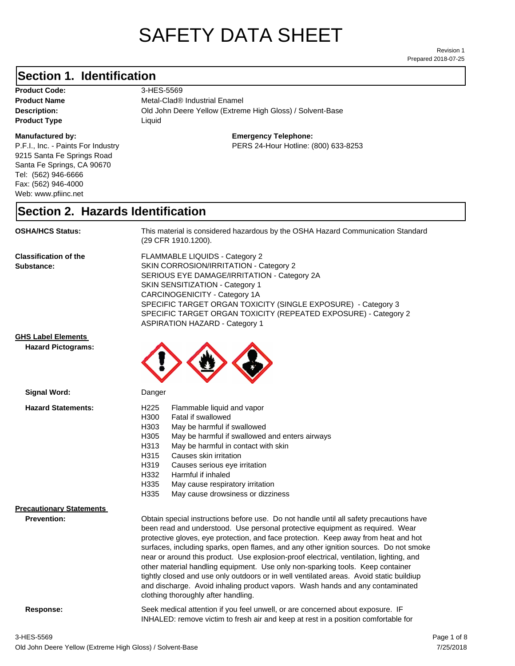# SAFETY DATA SHEET

Prepared 2018-07-25 Revision 1

#### **Section 1. Identification**

| <b>Product Code:</b> |
|----------------------|
| <b>Product Name</b>  |
| Description:         |
| <b>Product Type</b>  |

#### **Manufactured by:**

P.F.I., Inc. - Paints For Industry 9215 Santa Fe Springs Road Santa Fe Springs, CA 90670 Tel: (562) 946-6666 Fax: (562) 946-4000 Web: www.pfiinc.net

**Product Code:** 3-HES-5569 **Product Name** Metal-Clad® Industrial Enamel

**Old John Deere Yellow (Extreme High Gloss) / Solvent-Base Product Type** Liquid

> **Emergency Telephone:** PERS 24-Hour Hotline: (800) 633-8253

#### **Section 2. Hazards Identification**

**OSHA/HCS Status:** This material is considered hazardous by the OSHA Hazard Communication Standard (29 CFR 1910.1200).

**Classification of the Substance:**

FLAMMABLE LIQUIDS - Category 2 SKIN CORROSION/IRRITATION - Category 2 SERIOUS EYE DAMAGE/IRRITATION - Category 2A SKIN SENSITIZATION - Category 1 CARCINOGENICITY - Category 1A SPECIFIC TARGET ORGAN TOXICITY (SINGLE EXPOSURE) - Category 3 SPECIFIC TARGET ORGAN TOXICITY (REPEATED EXPOSURE) - Category 2 ASPIRATION HAZARD - Category 1

INHALED: remove victim to fresh air and keep at rest in a position comfortable for

#### **GHS Label Elements**

**Hazard Pictograms:**



| Signal Word:                    | Danger                                                                                                                                                                                                                                                                                                                                                                                                                                                                                                                                                                                                                                                                                                                                                   |  |
|---------------------------------|----------------------------------------------------------------------------------------------------------------------------------------------------------------------------------------------------------------------------------------------------------------------------------------------------------------------------------------------------------------------------------------------------------------------------------------------------------------------------------------------------------------------------------------------------------------------------------------------------------------------------------------------------------------------------------------------------------------------------------------------------------|--|
| <b>Hazard Statements:</b>       | H <sub>225</sub><br>Flammable liquid and vapor                                                                                                                                                                                                                                                                                                                                                                                                                                                                                                                                                                                                                                                                                                           |  |
|                                 | H300<br>Fatal if swallowed                                                                                                                                                                                                                                                                                                                                                                                                                                                                                                                                                                                                                                                                                                                               |  |
|                                 | H303<br>May be harmful if swallowed                                                                                                                                                                                                                                                                                                                                                                                                                                                                                                                                                                                                                                                                                                                      |  |
|                                 | H305<br>May be harmful if swallowed and enters airways                                                                                                                                                                                                                                                                                                                                                                                                                                                                                                                                                                                                                                                                                                   |  |
|                                 | H313<br>May be harmful in contact with skin                                                                                                                                                                                                                                                                                                                                                                                                                                                                                                                                                                                                                                                                                                              |  |
|                                 | Causes skin irritation<br>H315                                                                                                                                                                                                                                                                                                                                                                                                                                                                                                                                                                                                                                                                                                                           |  |
|                                 | H319<br>Causes serious eye irritation                                                                                                                                                                                                                                                                                                                                                                                                                                                                                                                                                                                                                                                                                                                    |  |
|                                 | H332<br>Harmful if inhaled                                                                                                                                                                                                                                                                                                                                                                                                                                                                                                                                                                                                                                                                                                                               |  |
|                                 | H335<br>May cause respiratory irritation                                                                                                                                                                                                                                                                                                                                                                                                                                                                                                                                                                                                                                                                                                                 |  |
|                                 | H335<br>May cause drowsiness or dizziness                                                                                                                                                                                                                                                                                                                                                                                                                                                                                                                                                                                                                                                                                                                |  |
| <b>Precautionary Statements</b> |                                                                                                                                                                                                                                                                                                                                                                                                                                                                                                                                                                                                                                                                                                                                                          |  |
| <b>Prevention:</b>              | Obtain special instructions before use. Do not handle until all safety precautions have<br>been read and understood. Use personal protective equipment as required. Wear<br>protective gloves, eye protection, and face protection. Keep away from heat and hot<br>surfaces, including sparks, open flames, and any other ignition sources. Do not smoke<br>near or around this product. Use explosion-proof electrical, ventilation, lighting, and<br>other material handling equipment. Use only non-sparking tools. Keep container<br>tightly closed and use only outdoors or in well ventilated areas. Avoid static buildiup<br>and discharge. Avoid inhaling product vapors. Wash hands and any contaminated<br>clothing thoroughly after handling. |  |
| Response:                       | Seek medical attention if you feel unwell, or are concerned about exposure. IF                                                                                                                                                                                                                                                                                                                                                                                                                                                                                                                                                                                                                                                                           |  |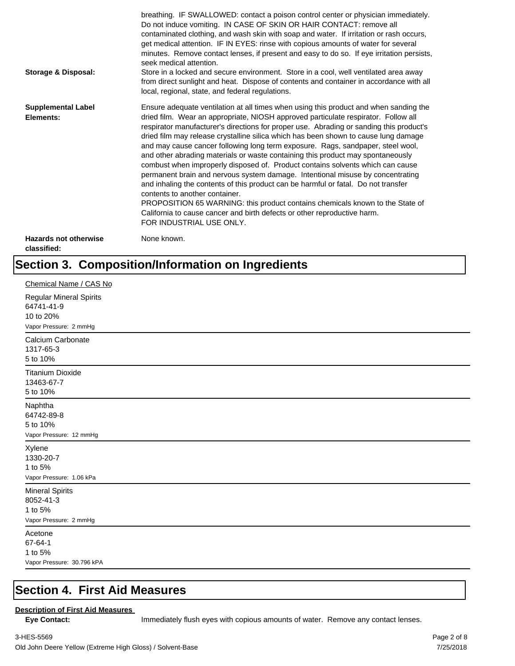| <b>Storage &amp; Disposal:</b>              | breathing. IF SWALLOWED: contact a poison control center or physician immediately.<br>Do not induce vomiting. IN CASE OF SKIN OR HAIR CONTACT: remove all<br>contaminated clothing, and wash skin with soap and water. If irritation or rash occurs,<br>get medical attention. IF IN EYES: rinse with copious amounts of water for several<br>minutes. Remove contact lenses, if present and easy to do so. If eye irritation persists,<br>seek medical attention.<br>Store in a locked and secure environment. Store in a cool, well ventilated area away<br>from direct sunlight and heat. Dispose of contents and container in accordance with all<br>local, regional, state, and federal regulations.                                                                                                                                                                                                                                                                                                                |
|---------------------------------------------|--------------------------------------------------------------------------------------------------------------------------------------------------------------------------------------------------------------------------------------------------------------------------------------------------------------------------------------------------------------------------------------------------------------------------------------------------------------------------------------------------------------------------------------------------------------------------------------------------------------------------------------------------------------------------------------------------------------------------------------------------------------------------------------------------------------------------------------------------------------------------------------------------------------------------------------------------------------------------------------------------------------------------|
| <b>Supplemental Label</b><br>Elements:      | Ensure adequate ventilation at all times when using this product and when sanding the<br>dried film. Wear an appropriate, NIOSH approved particulate respirator. Follow all<br>respirator manufacturer's directions for proper use. Abrading or sanding this product's<br>dried film may release crystalline silica which has been shown to cause lung damage<br>and may cause cancer following long term exposure. Rags, sandpaper, steel wool,<br>and other abrading materials or waste containing this product may spontaneously<br>combust when improperly disposed of. Product contains solvents which can cause<br>permanent brain and nervous system damage. Intentional misuse by concentrating<br>and inhaling the contents of this product can be harmful or fatal. Do not transfer<br>contents to another container.<br>PROPOSITION 65 WARNING: this product contains chemicals known to the State of<br>California to cause cancer and birth defects or other reproductive harm.<br>FOR INDUSTRIAL USE ONLY. |
| <b>Hazards not otherwise</b><br>classified: | None known.                                                                                                                                                                                                                                                                                                                                                                                                                                                                                                                                                                                                                                                                                                                                                                                                                                                                                                                                                                                                              |

## **Section 3. Composition/Information on Ingredients**

| Chemical Name / CAS No                                                              |
|-------------------------------------------------------------------------------------|
| <b>Regular Mineral Spirits</b><br>64741-41-9<br>10 to 20%<br>Vapor Pressure: 2 mmHg |
| Calcium Carbonate<br>1317-65-3<br>5 to 10%                                          |
| <b>Titanium Dioxide</b><br>13463-67-7<br>5 to 10%                                   |
| Naphtha<br>64742-89-8<br>5 to 10%<br>Vapor Pressure: 12 mmHg                        |
| Xylene<br>1330-20-7<br>1 to 5%<br>Vapor Pressure: 1.06 kPa                          |
| <b>Mineral Spirits</b><br>8052-41-3<br>1 to 5%<br>Vapor Pressure: 2 mmHg            |
| Acetone<br>67-64-1<br>1 to 5%<br>Vapor Pressure: 30.796 kPA                         |

#### **Section 4. First Aid Measures**

#### **Description of First Aid Measures**

Eye Contact: **IMMED** Immediately flush eyes with copious amounts of water. Remove any contact lenses.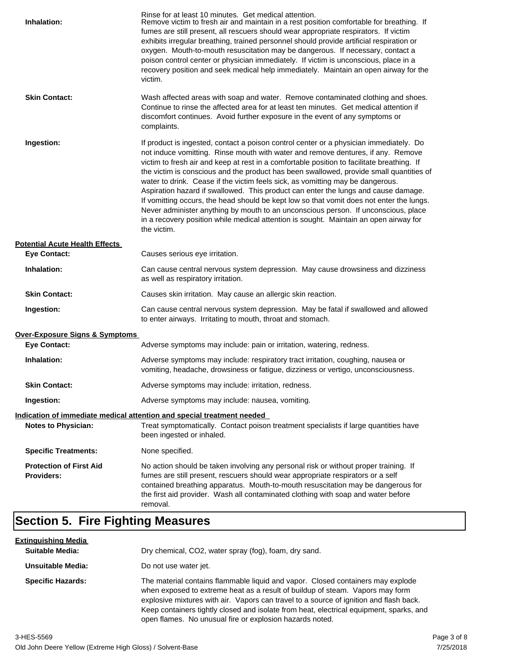| Inhalation:                                         | Rinse for at least 10 minutes. Get medical attention.<br>Remove victim to fresh air and maintain in a rest position comfortable for breathing. If<br>fumes are still present, all rescuers should wear appropriate respirators. If victim<br>exhibits irregular breathing, trained personnel should provide artificial respiration or<br>oxygen. Mouth-to-mouth resuscitation may be dangerous. If necessary, contact a<br>poison control center or physician immediately. If victim is unconscious, place in a<br>recovery position and seek medical help immediately. Maintain an open airway for the<br>victim.                                                                                                                                                                                                                    |
|-----------------------------------------------------|---------------------------------------------------------------------------------------------------------------------------------------------------------------------------------------------------------------------------------------------------------------------------------------------------------------------------------------------------------------------------------------------------------------------------------------------------------------------------------------------------------------------------------------------------------------------------------------------------------------------------------------------------------------------------------------------------------------------------------------------------------------------------------------------------------------------------------------|
| <b>Skin Contact:</b>                                | Wash affected areas with soap and water. Remove contaminated clothing and shoes.<br>Continue to rinse the affected area for at least ten minutes. Get medical attention if<br>discomfort continues. Avoid further exposure in the event of any symptoms or<br>complaints.                                                                                                                                                                                                                                                                                                                                                                                                                                                                                                                                                             |
| Ingestion:                                          | If product is ingested, contact a poison control center or a physician immediately. Do<br>not induce vomitting. Rinse mouth with water and remove dentures, if any. Remove<br>victim to fresh air and keep at rest in a comfortable position to facilitate breathing. If<br>the victim is conscious and the product has been swallowed, provide small quantities of<br>water to drink. Cease if the victim feels sick, as vomitting may be dangerous.<br>Aspiration hazard if swallowed. This product can enter the lungs and cause damage.<br>If vomitting occurs, the head should be kept low so that vomit does not enter the lungs.<br>Never administer anything by mouth to an unconscious person. If unconscious, place<br>in a recovery position while medical attention is sought. Maintain an open airway for<br>the victim. |
| <b>Potential Acute Health Effects</b>               |                                                                                                                                                                                                                                                                                                                                                                                                                                                                                                                                                                                                                                                                                                                                                                                                                                       |
| <b>Eye Contact:</b>                                 | Causes serious eye irritation.                                                                                                                                                                                                                                                                                                                                                                                                                                                                                                                                                                                                                                                                                                                                                                                                        |
| Inhalation:                                         | Can cause central nervous system depression. May cause drowsiness and dizziness<br>as well as respiratory irritation.                                                                                                                                                                                                                                                                                                                                                                                                                                                                                                                                                                                                                                                                                                                 |
| <b>Skin Contact:</b>                                | Causes skin irritation. May cause an allergic skin reaction.                                                                                                                                                                                                                                                                                                                                                                                                                                                                                                                                                                                                                                                                                                                                                                          |
| Ingestion:                                          | Can cause central nervous system depression. May be fatal if swallowed and allowed<br>to enter airways. Irritating to mouth, throat and stomach.                                                                                                                                                                                                                                                                                                                                                                                                                                                                                                                                                                                                                                                                                      |
| <b>Over-Exposure Signs &amp; Symptoms</b>           |                                                                                                                                                                                                                                                                                                                                                                                                                                                                                                                                                                                                                                                                                                                                                                                                                                       |
| <b>Eye Contact:</b>                                 | Adverse symptoms may include: pain or irritation, watering, redness.                                                                                                                                                                                                                                                                                                                                                                                                                                                                                                                                                                                                                                                                                                                                                                  |
| Inhalation:                                         | Adverse symptoms may include: respiratory tract irritation, coughing, nausea or<br>vomiting, headache, drowsiness or fatigue, dizziness or vertigo, unconsciousness.                                                                                                                                                                                                                                                                                                                                                                                                                                                                                                                                                                                                                                                                  |
| <b>Skin Contact:</b>                                | Adverse symptoms may include: irritation, redness.                                                                                                                                                                                                                                                                                                                                                                                                                                                                                                                                                                                                                                                                                                                                                                                    |
| Ingestion:                                          | Adverse symptoms may include: nausea, vomiting.                                                                                                                                                                                                                                                                                                                                                                                                                                                                                                                                                                                                                                                                                                                                                                                       |
|                                                     | Indication of immediate medical attention and special treatment needed                                                                                                                                                                                                                                                                                                                                                                                                                                                                                                                                                                                                                                                                                                                                                                |
| <b>Notes to Physician:</b>                          | Treat symptomatically. Contact poison treatment specialists if large quantities have<br>been ingested or inhaled.                                                                                                                                                                                                                                                                                                                                                                                                                                                                                                                                                                                                                                                                                                                     |
| <b>Specific Treatments:</b>                         | None specified.                                                                                                                                                                                                                                                                                                                                                                                                                                                                                                                                                                                                                                                                                                                                                                                                                       |
| <b>Protection of First Aid</b><br><b>Providers:</b> | No action should be taken involving any personal risk or without proper training. If<br>fumes are still present, rescuers should wear appropriate respirators or a self<br>contained breathing apparatus. Mouth-to-mouth resuscitation may be dangerous for<br>the first aid provider. Wash all contaminated clothing with soap and water before<br>removal.                                                                                                                                                                                                                                                                                                                                                                                                                                                                          |

## **Section 5. Fire Fighting Measures**

| <u>Extinguishing Media</u> |                                                                                                                                                                                                                                                                                                                                                                                                                   |  |
|----------------------------|-------------------------------------------------------------------------------------------------------------------------------------------------------------------------------------------------------------------------------------------------------------------------------------------------------------------------------------------------------------------------------------------------------------------|--|
| <b>Suitable Media:</b>     | Dry chemical, CO2, water spray (fog), foam, dry sand.                                                                                                                                                                                                                                                                                                                                                             |  |
| Unsuitable Media:          | Do not use water jet.                                                                                                                                                                                                                                                                                                                                                                                             |  |
| <b>Specific Hazards:</b>   | The material contains flammable liquid and vapor. Closed containers may explode<br>when exposed to extreme heat as a result of buildup of steam. Vapors may form<br>explosive mixtures with air. Vapors can travel to a source of ignition and flash back.<br>Keep containers tightly closed and isolate from heat, electrical equipment, sparks, and<br>open flames. No unusual fire or explosion hazards noted. |  |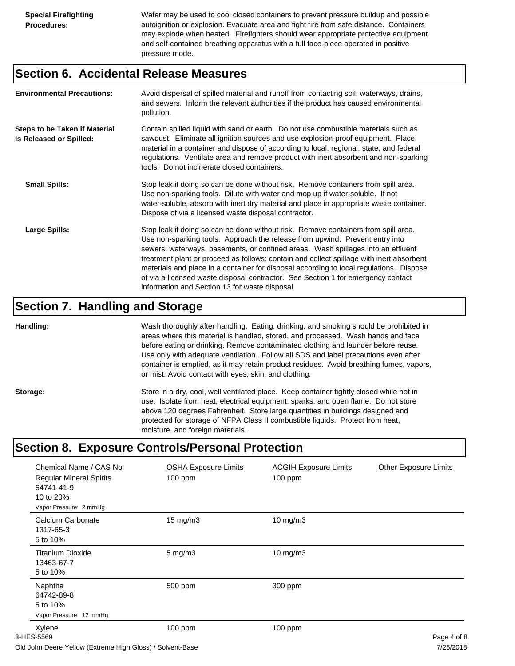Water may be used to cool closed containers to prevent pressure buildup and possible autoignition or explosion. Evacuate area and fight fire from safe distance. Containers may explode when heated. Firefighters should wear appropriate protective equipment and self-contained breathing apparatus with a full face-piece operated in positive pressure mode.

#### **Section 6. Accidental Release Measures**

| <b>Environmental Precautions:</b>                               | Avoid dispersal of spilled material and runoff from contacting soil, waterways, drains,<br>and sewers. Inform the relevant authorities if the product has caused environmental<br>pollution.                                                                                                                                                                                                                                                                                                                                                                                        |
|-----------------------------------------------------------------|-------------------------------------------------------------------------------------------------------------------------------------------------------------------------------------------------------------------------------------------------------------------------------------------------------------------------------------------------------------------------------------------------------------------------------------------------------------------------------------------------------------------------------------------------------------------------------------|
| <b>Steps to be Taken if Material</b><br>is Released or Spilled: | Contain spilled liquid with sand or earth. Do not use combustible materials such as<br>sawdust. Eliminate all ignition sources and use explosion-proof equipment. Place<br>material in a container and dispose of according to local, regional, state, and federal<br>regulations. Ventilate area and remove product with inert absorbent and non-sparking<br>tools. Do not incinerate closed containers.                                                                                                                                                                           |
| <b>Small Spills:</b>                                            | Stop leak if doing so can be done without risk. Remove containers from spill area.<br>Use non-sparking tools. Dilute with water and mop up if water-soluble. If not<br>water-soluble, absorb with inert dry material and place in appropriate waste container.<br>Dispose of via a licensed waste disposal contractor.                                                                                                                                                                                                                                                              |
| Large Spills:                                                   | Stop leak if doing so can be done without risk. Remove containers from spill area.<br>Use non-sparking tools. Approach the release from upwind. Prevent entry into<br>sewers, waterways, basements, or confined areas. Wash spillages into an effluent<br>treatment plant or proceed as follows: contain and collect spillage with inert absorbent<br>materials and place in a container for disposal according to local regulations. Dispose<br>of via a licensed waste disposal contractor. See Section 1 for emergency contact<br>information and Section 13 for waste disposal. |

#### **Section 7. Handling and Storage**

**Handling:** Wash thoroughly after handling. Eating, drinking, and smoking should be prohibited in areas where this material is handled, stored, and processed. Wash hands and face before eating or drinking. Remove contaminated clothing and launder before reuse. Use only with adequate ventilation. Follow all SDS and label precautions even after container is emptied, as it may retain product residues. Avoid breathing fumes, vapors, or mist. Avoid contact with eyes, skin, and clothing.

Storage: Store in a dry, cool, well ventilated place. Keep container tightly closed while not in use. Isolate from heat, electrical equipment, sparks, and open flame. Do not store above 120 degrees Fahrenheit. Store large quantities in buildings designed and protected for storage of NFPA Class II combustible liquids. Protect from heat, moisture, and foreign materials.

### **Section 8. Exposure Controls/Personal Protection**

| Chemical Name / CAS No<br><b>Regular Mineral Spirits</b><br>64741-41-9<br>10 to 20%<br>Vapor Pressure: 2 mmHg | <b>OSHA Exposure Limits</b><br>$100$ ppm | <b>ACGIH Exposure Limits</b><br>100 ppm | <b>Other Exposure Limits</b> |
|---------------------------------------------------------------------------------------------------------------|------------------------------------------|-----------------------------------------|------------------------------|
| Calcium Carbonate<br>1317-65-3<br>5 to 10%                                                                    | $15 \text{ mg/m}$                        | $10$ mg/m $3$                           |                              |
| <b>Titanium Dioxide</b><br>13463-67-7<br>5 to 10%                                                             | $5$ mg/m $3$                             | $10$ mg/m $3$                           |                              |
| Naphtha<br>64742-89-8<br>5 to 10%<br>Vapor Pressure: 12 mmHg                                                  | 500 ppm                                  | 300 ppm                                 |                              |
| Xylene<br>3-HES-5569                                                                                          | 100 ppm                                  | $100$ ppm                               | Page 4 of 8                  |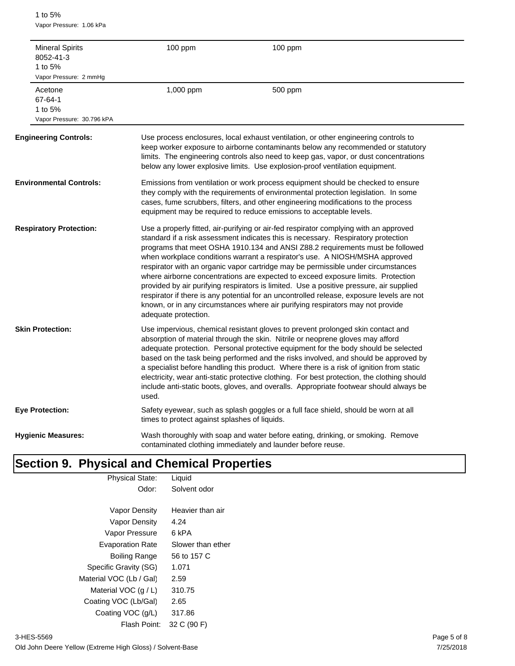1 to 5% Vapor Pressure: 1.06 kPa

| 1 to $5%$                     | <b>Mineral Spirits</b><br>8052-41-3<br>Vapor Pressure: 2 mmHq                                                                                                                                                                                                                                                                                                                                                                                                                                                                                                                                                                                                           | 100 ppm                                       | 100 ppm                                                                                                                                                                                                                                                                                                                                                                                                                                                                                                                                                                                                                                                                                                                                                                                       |
|-------------------------------|-------------------------------------------------------------------------------------------------------------------------------------------------------------------------------------------------------------------------------------------------------------------------------------------------------------------------------------------------------------------------------------------------------------------------------------------------------------------------------------------------------------------------------------------------------------------------------------------------------------------------------------------------------------------------|-----------------------------------------------|-----------------------------------------------------------------------------------------------------------------------------------------------------------------------------------------------------------------------------------------------------------------------------------------------------------------------------------------------------------------------------------------------------------------------------------------------------------------------------------------------------------------------------------------------------------------------------------------------------------------------------------------------------------------------------------------------------------------------------------------------------------------------------------------------|
| Acetone<br>67-64-1<br>1 to 5% | Vapor Pressure: 30.796 kPA                                                                                                                                                                                                                                                                                                                                                                                                                                                                                                                                                                                                                                              | 1,000 ppm                                     | 500 ppm                                                                                                                                                                                                                                                                                                                                                                                                                                                                                                                                                                                                                                                                                                                                                                                       |
|                               | <b>Engineering Controls:</b>                                                                                                                                                                                                                                                                                                                                                                                                                                                                                                                                                                                                                                            |                                               | Use process enclosures, local exhaust ventilation, or other engineering controls to<br>keep worker exposure to airborne contaminants below any recommended or statutory<br>limits. The engineering controls also need to keep gas, vapor, or dust concentrations<br>below any lower explosive limits. Use explosion-proof ventilation equipment.                                                                                                                                                                                                                                                                                                                                                                                                                                              |
|                               | <b>Environmental Controls:</b>                                                                                                                                                                                                                                                                                                                                                                                                                                                                                                                                                                                                                                          |                                               | Emissions from ventilation or work process equipment should be checked to ensure<br>they comply with the requirements of environmental protection legislation. In some<br>cases, fume scrubbers, filters, and other engineering modifications to the process<br>equipment may be required to reduce emissions to acceptable levels.                                                                                                                                                                                                                                                                                                                                                                                                                                                           |
|                               | <b>Respiratory Protection:</b>                                                                                                                                                                                                                                                                                                                                                                                                                                                                                                                                                                                                                                          | adequate protection.                          | Use a properly fitted, air-purifying or air-fed respirator complying with an approved<br>standard if a risk assessment indicates this is necessary. Respiratory protection<br>programs that meet OSHA 1910.134 and ANSI Z88.2 requirements must be followed<br>when workplace conditions warrant a respirator's use. A NIOSH/MSHA approved<br>respirator with an organic vapor cartridge may be permissible under circumstances<br>where airborne concentrations are expected to exceed exposure limits. Protection<br>provided by air purifying respirators is limited. Use a positive pressure, air supplied<br>respirator if there is any potential for an uncontrolled release, exposure levels are not<br>known, or in any circumstances where air purifying respirators may not provide |
|                               | <b>Skin Protection:</b><br>Use impervious, chemical resistant gloves to prevent prolonged skin contact and<br>absorption of material through the skin. Nitrile or neoprene gloves may afford<br>adequate protection. Personal protective equipment for the body should be selected<br>based on the task being performed and the risks involved, and should be approved by<br>a specialist before handling this product. Where there is a risk of ignition from static<br>electricity, wear anti-static protective clothing. For best protection, the clothing should<br>include anti-static boots, gloves, and overalls. Appropriate footwear should always be<br>used. |                                               |                                                                                                                                                                                                                                                                                                                                                                                                                                                                                                                                                                                                                                                                                                                                                                                               |
| <b>Eye Protection:</b>        |                                                                                                                                                                                                                                                                                                                                                                                                                                                                                                                                                                                                                                                                         | times to protect against splashes of liquids. | Safety eyewear, such as splash goggles or a full face shield, should be worn at all                                                                                                                                                                                                                                                                                                                                                                                                                                                                                                                                                                                                                                                                                                           |
|                               | <b>Hygienic Measures:</b>                                                                                                                                                                                                                                                                                                                                                                                                                                                                                                                                                                                                                                               |                                               | Wash thoroughly with soap and water before eating, drinking, or smoking. Remove<br>contaminated clothing immediately and launder before reuse.                                                                                                                                                                                                                                                                                                                                                                                                                                                                                                                                                                                                                                                |

## **Section 9. Physical and Chemical Properties**

| <b>Physical State:</b>  | Liquid            |  |
|-------------------------|-------------------|--|
| Odor:                   | Solvent odor      |  |
|                         |                   |  |
| Vapor Density           | Heavier than air  |  |
| Vapor Density           | 4.24              |  |
| Vapor Pressure          | 6 kPA             |  |
| <b>Evaporation Rate</b> | Slower than ether |  |
| Boiling Range           | 56 to 157 C       |  |
| Specific Gravity (SG)   | 1.071             |  |
| Material VOC (Lb / Gal) | 2.59              |  |
| Material VOC $(q/L)$    | 310.75            |  |
| Coating VOC (Lb/Gal)    | 2.65              |  |
| Coating VOC (g/L)       | 317.86            |  |
| Flash Point:            | 32 C (90 F)       |  |
|                         |                   |  |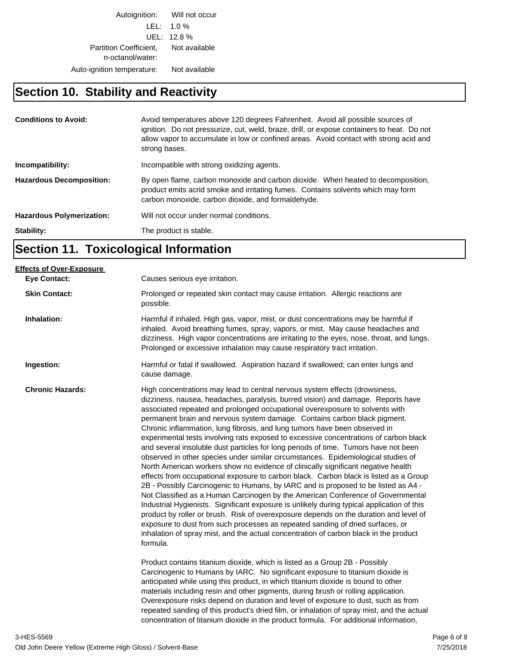Autoignition: Will not occur LEL: 1.0 % UEL: 12.8 % Partition Coefficient, Not available n-octanol/water: Auto-ignition temperature: Not available

## **Section 10. Stability and Reactivity**

| <b>Conditions to Avoid:</b>      | Avoid temperatures above 120 degrees Fahrenheit. Avoid all possible sources of<br>ignition. Do not pressurize, cut, weld, braze, drill, or expose containers to heat. Do not<br>allow vapor to accumulate in low or confined areas. Avoid contact with strong acid and<br>strong bases. |  |
|----------------------------------|-----------------------------------------------------------------------------------------------------------------------------------------------------------------------------------------------------------------------------------------------------------------------------------------|--|
| Incompatibility:                 | Incompatible with strong oxidizing agents.                                                                                                                                                                                                                                              |  |
| <b>Hazardous Decomposition:</b>  | By open flame, carbon monoxide and carbon dioxide. When heated to decomposition,<br>product emits acrid smoke and irritating fumes. Contains solvents which may form<br>carbon monoxide, carbon dioxide, and formaldehyde.                                                              |  |
| <b>Hazardous Polymerization:</b> | Will not occur under normal conditions.                                                                                                                                                                                                                                                 |  |
| Stability:                       | The product is stable.                                                                                                                                                                                                                                                                  |  |

## **Section 11. Toxicological Information**

| <b>Effects of Over-Exposure</b> |                                                                                                                                                                                                                                                                                                                                                                                                                                                                                                                                                                                                                                                                                                                                                                                                                                                                                                                                                                                                                                                                                                                                                                                                                                                                                                                                                                                                                                                                                                                                                                                                                                                                                                                                                                                                                                                       |
|---------------------------------|-------------------------------------------------------------------------------------------------------------------------------------------------------------------------------------------------------------------------------------------------------------------------------------------------------------------------------------------------------------------------------------------------------------------------------------------------------------------------------------------------------------------------------------------------------------------------------------------------------------------------------------------------------------------------------------------------------------------------------------------------------------------------------------------------------------------------------------------------------------------------------------------------------------------------------------------------------------------------------------------------------------------------------------------------------------------------------------------------------------------------------------------------------------------------------------------------------------------------------------------------------------------------------------------------------------------------------------------------------------------------------------------------------------------------------------------------------------------------------------------------------------------------------------------------------------------------------------------------------------------------------------------------------------------------------------------------------------------------------------------------------------------------------------------------------------------------------------------------------|
| <b>Eye Contact:</b>             | Causes serious eye irritation.                                                                                                                                                                                                                                                                                                                                                                                                                                                                                                                                                                                                                                                                                                                                                                                                                                                                                                                                                                                                                                                                                                                                                                                                                                                                                                                                                                                                                                                                                                                                                                                                                                                                                                                                                                                                                        |
| <b>Skin Contact:</b>            | Prolonged or repeated skin contact may cause irritation. Allergic reactions are<br>possible.                                                                                                                                                                                                                                                                                                                                                                                                                                                                                                                                                                                                                                                                                                                                                                                                                                                                                                                                                                                                                                                                                                                                                                                                                                                                                                                                                                                                                                                                                                                                                                                                                                                                                                                                                          |
| Inhalation:                     | Harmful if inhaled. High gas, vapor, mist, or dust concentrations may be harmful if<br>inhaled. Avoid breathing fumes, spray, vapors, or mist. May cause headaches and<br>dizziness. High vapor concentrations are irritating to the eyes, nose, throat, and lungs.<br>Prolonged or excessive inhalation may cause respiratory tract irritation.                                                                                                                                                                                                                                                                                                                                                                                                                                                                                                                                                                                                                                                                                                                                                                                                                                                                                                                                                                                                                                                                                                                                                                                                                                                                                                                                                                                                                                                                                                      |
| Ingestion:                      | Harmful or fatal if swallowed. Aspiration hazard if swallowed; can enter lungs and<br>cause damage.                                                                                                                                                                                                                                                                                                                                                                                                                                                                                                                                                                                                                                                                                                                                                                                                                                                                                                                                                                                                                                                                                                                                                                                                                                                                                                                                                                                                                                                                                                                                                                                                                                                                                                                                                   |
| <b>Chronic Hazards:</b>         | High concentrations may lead to central nervous system effects (drowsiness,<br>dizziness, nausea, headaches, paralysis, burred vision) and damage. Reports have<br>associated repeated and prolonged occupational overexposure to solvents with<br>permanent brain and nervous system damage. Contains carbon black pigment.<br>Chronic inflammation, lung fibrosis, and lung tumors have been observed in<br>experimental tests involving rats exposed to excessive concentrations of carbon black<br>and several insoluble dust particles for long periods of time. Tumors have not been<br>observed in other species under similar circumstances. Epidemiological studies of<br>North American workers show no evidence of clinically significant negative health<br>effects from occupational exposure to carbon black. Carbon black is listed as a Group<br>2B - Possibly Carcinogenic to Humans, by IARC and is proposed to be listed as A4 -<br>Not Classified as a Human Carcinogen by the American Conference of Governmental<br>Industrial Hygienists. Significant exposure is unlikely during typical application of this<br>product by roller or brush. Risk of overexposure depends on the duration and level of<br>exposure to dust from such processes as repeated sanding of dried surfaces, or<br>inhalation of spray mist, and the actual concentration of carbon black in the product<br>formula.<br>Product contains titanium dioxide, which is listed as a Group 2B - Possibly<br>Carcinogenic to Humans by IARC. No significant exposure to titanium dioxide is<br>anticipated while using this product, in which titanium dioxide is bound to other<br>materials including resin and other pigments, during brush or rolling application.<br>Overexposure risks depend on duration and level of exposure to dust, such as from |
|                                 | repeated sanding of this product's dried film, or inhalation of spray mist, and the actual<br>concentration of titanium dioxide in the product formula. For additional information,                                                                                                                                                                                                                                                                                                                                                                                                                                                                                                                                                                                                                                                                                                                                                                                                                                                                                                                                                                                                                                                                                                                                                                                                                                                                                                                                                                                                                                                                                                                                                                                                                                                                   |
|                                 |                                                                                                                                                                                                                                                                                                                                                                                                                                                                                                                                                                                                                                                                                                                                                                                                                                                                                                                                                                                                                                                                                                                                                                                                                                                                                                                                                                                                                                                                                                                                                                                                                                                                                                                                                                                                                                                       |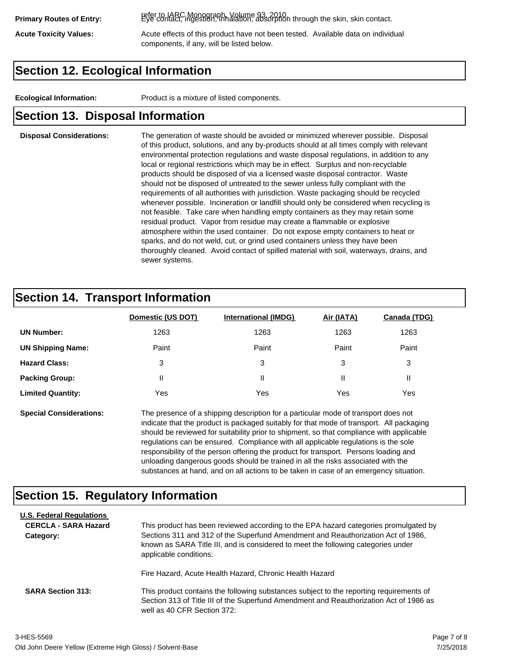refer to IARC Monograph, Volume 93, 2010. **Primary Routes of Entry:** Eye contact, ingestion, inhalation, absorption through the skin, skin contact.

Acute Toxicity Values: **Acute effects of this product have not been tested.** Available data on individual components, if any, will be listed below.

### **Section 12. Ecological Information**

**Ecological Information:** Product is a mixture of listed components.

#### **Section 13. Disposal Information**

#### **Disposal Considerations:** The generation of waste should be avoided or minimized wherever possible. Disposal of this product, solutions, and any by-products should at all times comply with relevant environmental protection regulations and waste disposal regulations, in addition to any local or regional restrictions which may be in effect. Surplus and non-recyclable products should be disposed of via a licensed waste disposal contractor. Waste should not be disposed of untreated to the sewer unless fully compliant with the requirements of all authorities with jurisdiction. Waste packaging should be recycled whenever possible. Incineration or landfill should only be considered when recycling is not feasible. Take care when handling empty containers as they may retain some residual product. Vapor from residue may create a flammable or explosive atmosphere within the used container. Do not expose empty containers to heat or sparks, and do not weld, cut, or grind used containers unless they have been thoroughly cleaned. Avoid contact of spilled material with soil, waterways, drains, and sewer systems.

#### **Section 14. Transport Information**

|                          | Domestic (US DOT) | <b>International (IMDG)</b> | Air (IATA) | Canada (TDG) |
|--------------------------|-------------------|-----------------------------|------------|--------------|
| <b>UN Number:</b>        | 1263              | 1263                        | 1263       | 1263         |
| <b>UN Shipping Name:</b> | Paint             | Paint                       | Paint      | Paint        |
| <b>Hazard Class:</b>     | 3                 | 3                           | 3          | 3            |
| <b>Packing Group:</b>    | Ш                 | Ш                           |            |              |
| <b>Limited Quantity:</b> | Yes               | Yes                         | Yes        | Yes          |

**Special Considerations:** The presence of a shipping description for a particular mode of transport does not indicate that the product is packaged suitably for that mode of transport. All packaging should be reviewed for suitability prior to shipment, so that compliance with applicable regulations can be ensured. Compliance with all applicable regulations is the sole responsibility of the person offering the product for transport. Persons loading and unloading dangerous goods should be trained in all the risks associated with the substances at hand, and on all actions to be taken in case of an emergency situation.

#### **Section 15. Regulatory Information**

| <b>U.S. Federal Regulations</b><br><b>CERCLA - SARA Hazard</b><br>Category: | This product has been reviewed according to the EPA hazard categories promulgated by<br>Sections 311 and 312 of the Superfund Amendment and Reauthorization Act of 1986,<br>known as SARA Title III, and is considered to meet the following categories under<br>applicable conditions: |  |  |  |
|-----------------------------------------------------------------------------|-----------------------------------------------------------------------------------------------------------------------------------------------------------------------------------------------------------------------------------------------------------------------------------------|--|--|--|
| <b>SARA Section 313:</b>                                                    | Fire Hazard, Acute Health Hazard, Chronic Health Hazard<br>This product contains the following substances subject to the reporting requirements of<br>Section 313 of Title III of the Superfund Amendment and Reauthorization Act of 1986 as                                            |  |  |  |
|                                                                             | well as 40 CFR Section 372:                                                                                                                                                                                                                                                             |  |  |  |